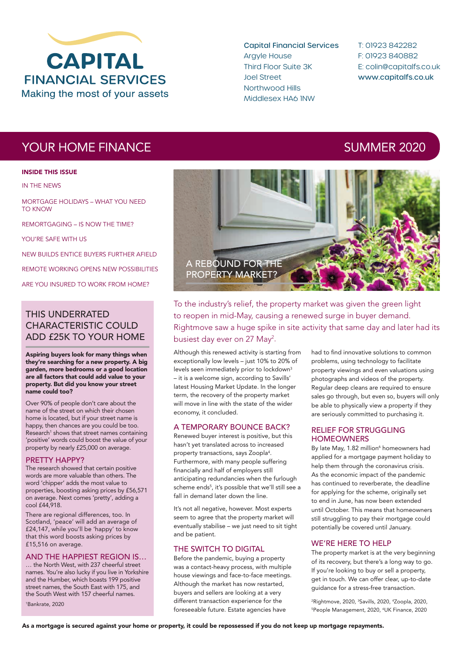

Capital Financial Services Argyle House Third Floor Suite 3K Joel Street Northwood Hills Middlesex HA6 1NW

T: 01923 842282 F: 01923 840882 E: colin@capitalfs.co.uk www.capitalfs.co.uk

## YOUR HOME FINANCE AND SUMMER 2020

### INSIDE THIS ISSUE

IN THE NEWS

MORTGAGE HOLIDAYS – WHAT YOU NEED TO KNOW

REMORTGAGING – IS NOW THE TIME?

YOU'RE SAFE WITH US

NEW BUILDS ENTICE BUYERS FURTHER AFIELD

REMOTE WORKING OPENS NEW POSSIBILITIES

ARE YOU INSURED TO WORK FROM HOME?

### THIS UNDERRATED CHARACTERISTIC COULD ADD £25K TO YOUR HOME

Aspiring buyers look for many things when they're searching for a new property. A big garden, more bedrooms or a good location are all factors that could add value to your property. But did you know your street name could too?

Over 90% of people don't care about the name of the street on which their chosen home is located, but if your street name is happy, then chances are you could be too. Research<sup>1</sup> shows that street names containing 'positive' words could boost the value of your property by nearly £25,000 on average.

### PRETTY HAPPY?

The research showed that certain positive words are more valuable than others. The word 'chipper' adds the most value to properties, boosting asking prices by £56,571 on average. Next comes 'pretty', adding a cool £44,918.

There are regional differences, too. In Scotland, 'peace' will add an average of £24,147, while you'll be 'happy' to know that this word boosts asking prices by £15,516 on average.

### AND THE HAPPIEST REGION IS…

… the North West, with 237 cheerful street names. You're also lucky if you live in Yorkshire and the Humber, which boasts 199 positive street names, the South East with 175, and the South West with 157 cheerful names. 1 Bankrate, 2020



To the industry's relief, the property market was given the green light to reopen in mid-May, causing a renewed surge in buyer demand. Rightmove saw a huge spike in site activity that same day and later had its busiest day ever on 27 May<sup>2</sup>.

Although this renewed activity is starting from exceptionally low levels – just 10% to 20% of levels seen immediately prior to lockdown<sup>3</sup> – it is a welcome sign, according to Savills' latest Housing Market Update. In the longer term, the recovery of the property market will move in line with the state of the wider economy, it concluded.

### A TEMPORARY BOUNCE BACK?

Renewed buyer interest is positive, but this hasn't yet translated across to increased property transactions, says Zoopla<sup>4</sup>. Furthermore, with many people suffering financially and half of employers still anticipating redundancies when the furlough scheme ends<sup>5</sup>, it's possible that we'll still see a fall in demand later down the line.

It's not all negative, however. Most experts seem to agree that the property market will eventually stabilise – we just need to sit tight and be patient.

### THE SWITCH TO DIGITAL

Before the pandemic, buying a property was a contact-heavy process, with multiple house viewings and face-to-face meetings. Although the market has now restarted, buyers and sellers are looking at a very different transaction experience for the foreseeable future. Estate agencies have

had to find innovative solutions to common problems, using technology to facilitate property viewings and even valuations using photographs and videos of the property. Regular deep cleans are required to ensure sales go through, but even so, buyers will only be able to physically view a property if they are seriously committed to purchasing it.

### RELIEF FOR STRUGGLING **HOMEOWNERS**

By late May, 1.82 million<sup>6</sup> homeowners had applied for a mortgage payment holiday to help them through the coronavirus crisis. As the economic impact of the pandemic has continued to reverberate, the deadline for applying for the scheme, originally set to end in June, has now been extended until October. This means that homeowners still struggling to pay their mortgage could potentially be covered until January.

### WE'RE HERE TO HELP

The property market is at the very beginning of its recovery, but there's a long way to go. If you're looking to buy or sell a property, get in touch. We can offer clear, up-to-date guidance for a stress-free transaction.

<sup>2</sup>Rightmove, 2020, <sup>3</sup>Savills, 2020, <sup>4</sup>Zoopla, 2020, <sup>5</sup>People Management, 2020, <sup>6</sup>UK Finance, 2020

As a mortgage is secured against your home or property, it could be repossessed if you do not keep up mortgage repayments.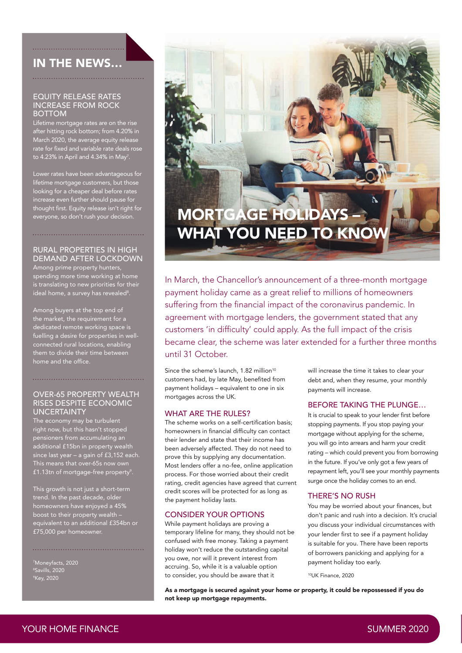### IN THE NEWS…

### EQUITY RELEASE RATES INCREASE FROM ROCK BOTTOM

Lifetime mortgage rates are on the rise after hitting rock bottom; from 4.20% in March 2020, the average equity release rate for fixed and variable rate deals rose to 4.23% in April and 4.34% in May<sup>7</sup>.

Lower rates have been advantageous for lifetime mortgage customers, but those looking for a cheaper deal before rates increase even further should pause for thought first. Equity release isn't right for everyone, so don't rush your decision.

### RURAL PROPERTIES IN HIGH DEMAND AFTER LOCKDOWN

Among prime property hunters, spending more time working at home is translating to new priorities for their ideal home, a survey has revealed $^{\rm 8}.$ 

Among buyers at the top end of the market, the requirement for a dedicated remote working space is fuelling a desire for properties in wellconnected rural locations, enabling them to divide their time between home and the office.

### OVER-65 PROPERTY WEALTH RISES DESPITE ECONOMIC **UNCERTAINTY**

The economy may be turbulent right now, but this hasn't stopped pensioners from accumulating an additional £15bn in property wealth since last year – a gain of £3,152 each. This means that over-65s now own £1.13tn of mortgage-free property $^{\circ}$ .

This growth is not just a short-term trend. In the past decade, older homeowners have enjoyed a 45% boost to their property wealth – equivalent to an additional £354bn or £75,000 per homeowner.

<sup>7</sup>Moneyfacts, 2020<br><sup>8</sup>Savills, 2020<br><sup>9</sup>Key, 2020



In March, the Chancellor's announcement of a three-month mortgage payment holiday came as a great relief to millions of homeowners suffering from the financial impact of the coronavirus pandemic. In agreement with mortgage lenders, the government stated that any customers 'in difficulty' could apply. As the full impact of the crisis became clear, the scheme was later extended for a further three months until 31 October.

Since the scheme's launch, 1.82 million<sup>10</sup> customers had, by late May, benefited from payment holidays – equivalent to one in six mortgages across the UK.

### WHAT ARE THE RULES?

The scheme works on a self-certification basis: homeowners in financial difficulty can contact their lender and state that their income has been adversely affected. They do not need to prove this by supplying any documentation. Most lenders offer a no-fee, online application process. For those worried about their credit rating, credit agencies have agreed that current credit scores will be protected for as long as the payment holiday lasts.

### CONSIDER YOUR OPTIONS

While payment holidays are proving a temporary lifeline for many, they should not be confused with free money. Taking a payment holiday won't reduce the outstanding capital you owe, nor will it prevent interest from accruing. So, while it is a valuable option to consider, you should be aware that it

will increase the time it takes to clear your debt and, when they resume, your monthly payments will increase.

### BEFORE TAKING THE PLUNGE…

It is crucial to speak to your lender first before stopping payments. If you stop paying your mortgage without applying for the scheme, you will go into arrears and harm your credit rating – which could prevent you from borrowing in the future. If you've only got a few years of repayment left, you'll see your monthly payments surge once the holiday comes to an end.

### THERE'S NO RUSH

You may be worried about your finances, but don't panic and rush into a decision. It's crucial you discuss your individual circumstances with your lender first to see if a payment holiday is suitable for you. There have been reports of borrowers panicking and applying for a payment holiday too early.

10UK Finance, 2020

As a mortgage is secured against your home or property, it could be repossessed if you do not keep up mortgage repayments.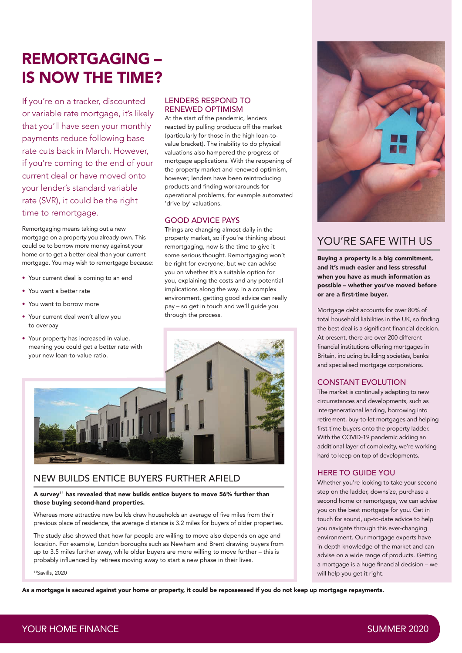# REMORTGAGING – IS NOW THE TIME?

If you're on a tracker, discounted or variable rate mortgage, it's likely that you'll have seen your monthly payments reduce following base rate cuts back in March. However, if you're coming to the end of your current deal or have moved onto your lender's standard variable rate (SVR), it could be the right time to remortgage.

Remortgaging means taking out a new mortgage on a property you already own. This could be to borrow more money against your home or to get a better deal than your current mortgage. You may wish to remortgage because:

- Your current deal is coming to an end
- You want a better rate
- You want to borrow more
- Your current deal won't allow you to overpay
- Your property has increased in value, meaning you could get a better rate with your new loan-to-value ratio.

### LENDERS RESPOND TO RENEWED OPTIMISM

At the start of the pandemic, lenders reacted by pulling products off the market (particularly for those in the high loan-tovalue bracket). The inability to do physical valuations also hampered the progress of mortgage applications. With the reopening of the property market and renewed optimism, however, lenders have been reintroducing products and finding workarounds for operational problems, for example automated 'drive-by' valuations.

### GOOD ADVICE PAYS

Things are changing almost daily in the property market, so if you're thinking about remortgaging, now is the time to give it some serious thought. Remortgaging won't be right for everyone, but we can advise you on whether it's a suitable option for you, explaining the costs and any potential implications along the way. In a complex environment, getting good advice can really pay – so get in touch and we'll guide you through the process.



### NEW BUILDS ENTICE BUYERS FURTHER AFIELD

### A survey<sup>11</sup> has revealed that new builds entice buyers to move 56% further than those buying second-hand properties.

Whereas more attractive new builds draw households an average of five miles from their previous place of residence, the average distance is 3.2 miles for buyers of older properties.

The study also showed that how far people are willing to move also depends on age and location. For example, London boroughs such as Newham and Brent drawing buyers from up to 3.5 miles further away, while older buyers are more willing to move further – this is probably influenced by retirees moving away to start a new phase in their lives.

11Savills, 2020

As a mortgage is secured against your home or property, it could be repossessed if you do not keep up mortgage repayments.



### YOU'RE SAFE WITH US

Buying a property is a big commitment, and it's much easier and less stressful when you have as much information as possible – whether you've moved before or are a first-time buyer.

Mortgage debt accounts for over 80% of total household liabilities in the UK, so finding the best deal is a significant financial decision. At present, there are over 200 different financial institutions offering mortgages in Britain, including building societies, banks and specialised mortgage corporations.

### CONSTANT EVOLUTION

The market is continually adapting to new circumstances and developments, such as intergenerational lending, borrowing into retirement, buy-to-let mortgages and helping first-time buyers onto the property ladder. With the COVID-19 pandemic adding an additional layer of complexity, we're working hard to keep on top of developments.

### HERE TO GUIDE YOU

Whether you're looking to take your second step on the ladder, downsize, purchase a second home or remortgage, we can advise you on the best mortgage for you. Get in touch for sound, up-to-date advice to help you navigate through this ever-changing environment. Our mortgage experts have in-depth knowledge of the market and can advise on a wide range of products. Getting a mortgage is a huge financial decision - we will help you get it right.